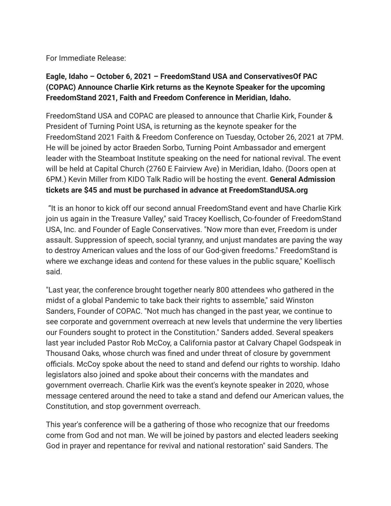For Immediate Release:

## **Eagle, Idaho – October 6, 2021 – FreedomStand USA and ConservativesOf PAC (COPAC) Announce Charlie Kirk returns as the Keynote Speaker for the upcoming FreedomStand 2021, Faith and Freedom Conference in Meridian, Idaho.**

FreedomStand USA and COPAC are pleased to announce that Charlie Kirk, Founder & President of Turning Point USA, is returning as the keynote speaker for the FreedomStand 2021 Faith & Freedom Conference on Tuesday, October 26, 2021 at 7PM. He will be joined by actor Braeden Sorbo, Turning Point Ambassador and emergent leader with the Steamboat Institute speaking on the need for national revival. The event will be held at Capital Church (2760 E Fairview Ave) in Meridian, Idaho. (Doors open at 6PM.) Kevin Miller from KIDO Talk Radio will be hosting the event. **General Admission tickets are \$45 and must be purchased in advance at FreedomStandUSA.org**

"It is an honor to kick off our second annual FreedomStand event and have Charlie Kirk join us again in the Treasure Valley," said Tracey Koellisch, Co-founder of FreedomStand USA, Inc. and Founder of Eagle Conservatives. "Now more than ever, Freedom is under assault. Suppression of speech, social tyranny, and unjust mandates are paving the way to destroy American values and the loss of our God-given freedoms." FreedomStand is where we exchange ideas and contend for these values in the public square," Koellisch said.

"Last year, the conference brought together nearly 800 attendees who gathered in the midst of a global Pandemic to take back their rights to assemble," said Winston Sanders, Founder of COPAC. "Not much has changed in the past year, we continue to see corporate and government overreach at new levels that undermine the very liberties our Founders sought to protect in the Constitution." Sanders added. Several speakers last year included Pastor Rob McCoy, a California pastor at Calvary Chapel Godspeak in Thousand Oaks, whose church was fined and under threat of closure by government officials. McCoy spoke about the need to stand and defend our rights to worship. Idaho legislators also joined and spoke about their concerns with the mandates and government overreach. Charlie Kirk was the event's keynote speaker in 2020, whose message centered around the need to take a stand and defend our American values, the Constitution, and stop government overreach.

This year's conference will be a gathering of those who recognize that our freedoms come from God and not man. We will be joined by pastors and elected leaders seeking God in prayer and repentance for revival and national restoration" said Sanders. The